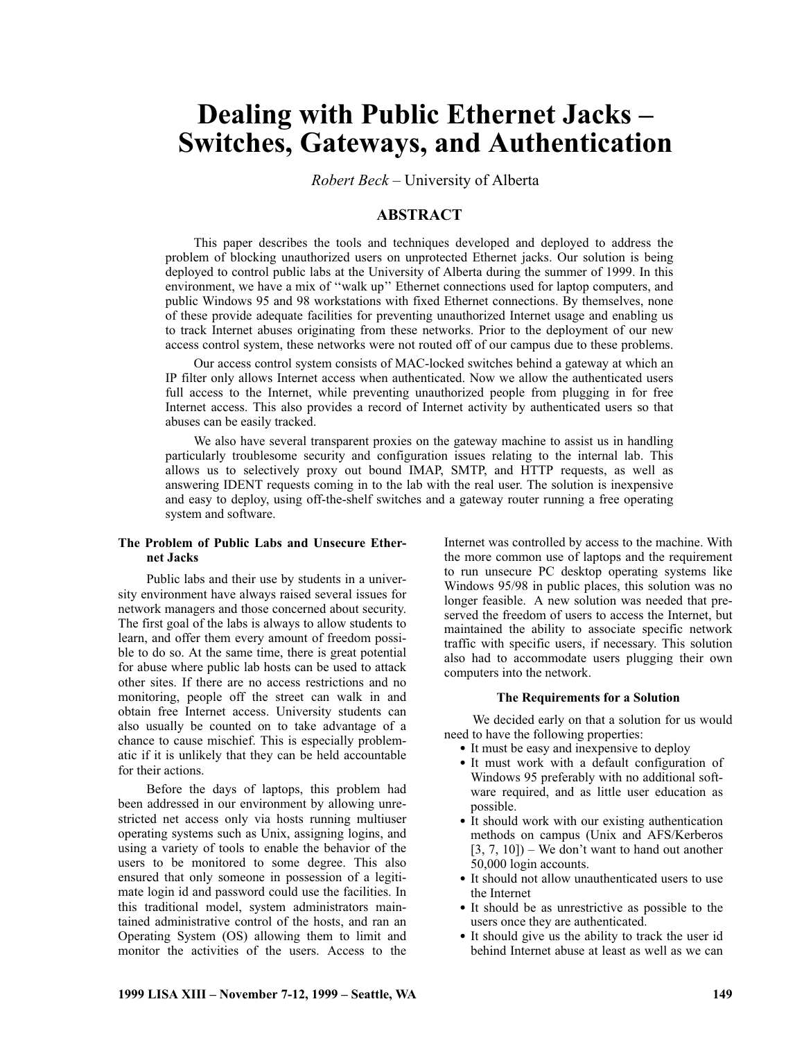# **Dealing with Public Ethernet Jacks – Switches, Gateways, and Authentication**

*Robert Beck* – University of Alberta

# **ABSTRACT**

This paper describes the tools and techniques developed and deployed to address the problem of blocking unauthorized users on unprotected Ethernet jacks. Our solution is being deployed to control public labs at the University of Alberta during the summer of 1999. In this environment, we have a mix of ''walk up'' Ethernet connections used for laptop computers, and public Windows 95 and 98 workstations with fixed Ethernet connections. By themselves, none of these provide adequate facilities for preventing unauthorized Internet usage and enabling us to track Internet abuses originating from these networks. Prior to the deployment of our new access control system, these networks were not routed off of our campus due to these problems.

Our access control system consists of MAC-locked switches behind a gateway at which an IP filter only allows Internet access when authenticated. Now we allow the authenticated users full access to the Internet, while preventing unauthorized people from plugging in for free Internet access. This also provides a record of Internet activity by authenticated users so that abuses can be easily tracked.

We also have several transparent proxies on the gateway machine to assist us in handling particularly troublesome security and configuration issues relating to the internal lab. This allows us to selectively proxy out bound IMAP, SMTP, and HTTP requests, as well as answering IDENT requests coming in to the lab with the real user. The solution is inexpensive and easy to deploy, using off-the-shelf switches and a gateway router running a free operating system and software.

#### **The Problem of Public Labs and Unsecure Ethernet Jacks**

Public labs and their use by students in a university environment have always raised several issues for network managers and those concerned about security. The first goal of the labs is always to allow students to learn, and offer them every amount of freedom possible to do so. At the same time, there is great potential for abuse where public lab hosts can be used to attack other sites. If there are no access restrictions and no monitoring, people off the street can walk in and obtain free Internet access. University students can also usually be counted on to take advantage of a chance to cause mischief. This is especially problematic if it is unlikely that they can be held accountable for their actions.

Before the days of laptops, this problem had been addressed in our environment by allowing unrestricted net access only via hosts running multiuser operating systems such as Unix, assigning logins, and using a variety of tools to enable the behavior of the users to be monitored to some degree. This also ensured that only someone in possession of a legitimate login id and password could use the facilities. In this traditional model, system administrators maintained administrative control of the hosts, and ran an Operating System (OS) allowing them to limit and monitor the activities of the users. Access to the

Internet was controlled by access to the machine. With the more common use of laptops and the requirement to run unsecure PC desktop operating systems like Windows 95/98 in public places, this solution was no longer feasible. A new solution was needed that preserved the freedom of users to access the Internet, but maintained the ability to associate specific network traffic with specific users, if necessary. This solution also had to accommodate users plugging their own computers into the network.

## **The Requirements for a Solution**

We decided early on that a solution for us would need to have the following properties:

- It must be easy and inexpensive to deploy
- It must work with a default configuration of Windows 95 preferably with no additional software required, and as little user education as possible.
- It should work with our existing authentication methods on campus (Unix and AFS/Kerberos  $[3, 7, 10]$  – We don't want to hand out another 50,000 login accounts.
- It should not allow unauthenticated users to use the Internet
- It should be as unrestrictive as possible to the users once they are authenticated.
- It should give us the ability to track the user id behind Internet abuse at least as well as we can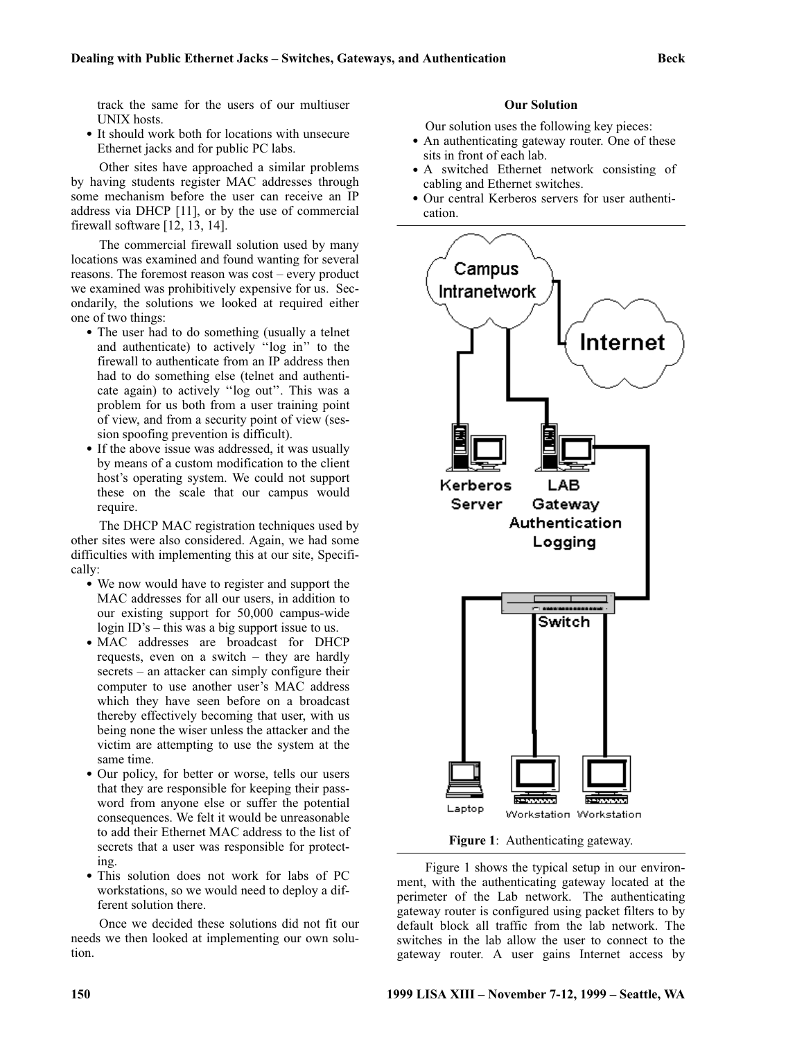track the same for the users of our multiuser UNIX hosts.

• It should work both for locations with unsecure Ethernet jacks and for public PC labs.

Other sites have approached a similar problems by having students register MAC addresses through some mechanism before the user can receive an IP address via DHCP [11], or by the use of commercial firewall software [12, 13, 14].

The commercial firewall solution used by many locations was examined and found wanting for several reasons. The foremost reason was cost – every product we examined was prohibitively expensive for us. Secondarily, the solutions we looked at required either one of two things:

- The user had to do something (usually a telnet and authenticate) to actively ''log in'' to the firewall to authenticate from an IP address then had to do something else (telnet and authenticate again) to actively ''log out''. This was a problem for us both from a user training point of view, and from a security point of view (session spoofing prevention is difficult).
- If the above issue was addressed, it was usually by means of a custom modification to the client host's operating system. We could not support these on the scale that our campus would require.

The DHCP MAC registration techniques used by other sites were also considered. Again, we had some difficulties with implementing this at our site, Specifically:

- We now would have to register and support the MAC addresses for all our users, in addition to our existing support for 50,000 campus-wide login ID's – this was a big support issue to us.
- MAC addresses are broadcast for DHCP requests, even on a switch – they are hardly secrets – an attacker can simply configure their computer to use another user's MAC address which they have seen before on a broadcast thereby effectively becoming that user, with us being none the wiser unless the attacker and the victim are attempting to use the system at the same time.
- Our policy, for better or worse, tells our users that they are responsible for keeping their password from anyone else or suffer the potential consequences. We felt it would be unreasonable to add their Ethernet MAC address to the list of secrets that a user was responsible for protecting.
- This solution does not work for labs of PC workstations, so we would need to deploy a different solution there.

Once we decided these solutions did not fit our needs we then looked at implementing our own solution.

## **Our Solution**

Our solution uses the following key pieces:

- An authenticating gateway router. One of these sits in front of each lab.
- A switched Ethernet network consisting of cabling and Ethernet switches.
- Our central Kerberos servers for user authentication.



**Figure 1**: Authenticating gateway.

Figure 1 shows the typical setup in our environment, with the authenticating gateway located at the perimeter of the Lab network. The authenticating gateway router is configured using packet filters to by default block all traffic from the lab network. The switches in the lab allow the user to connect to the gateway router. A user gains Internet access by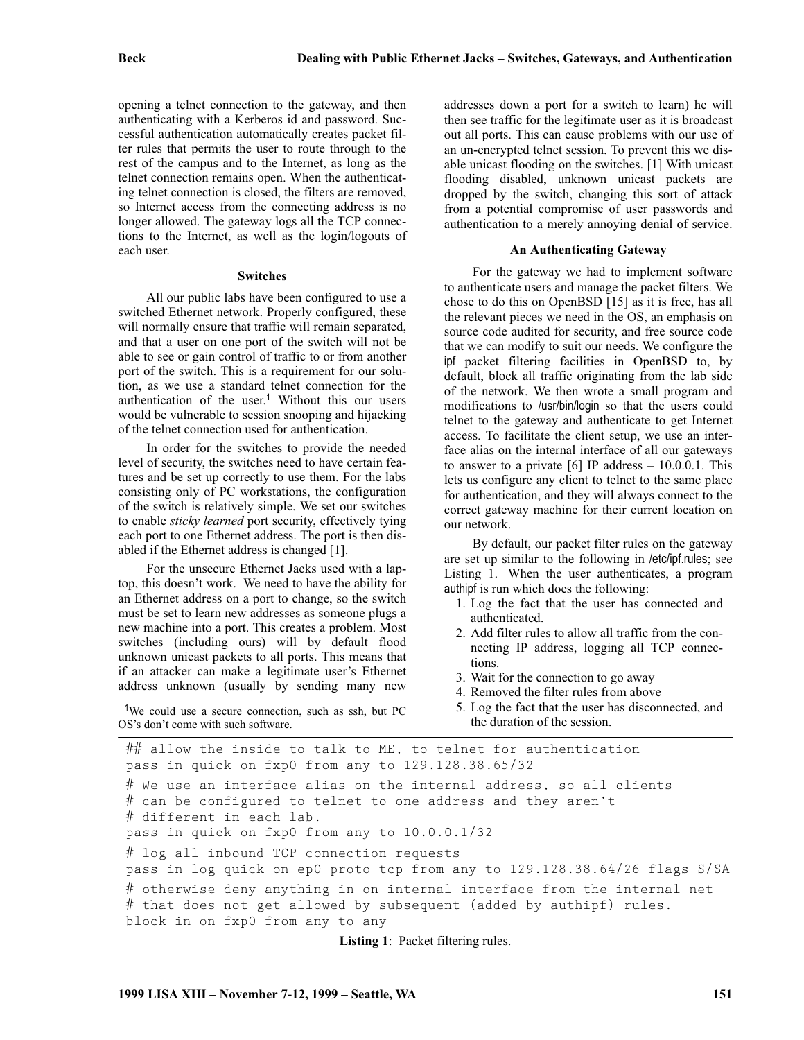opening a telnet connection to the gateway, and then authenticating with a Kerberos id and password. Successful authentication automatically creates packet filter rules that permits the user to route through to the rest of the campus and to the Internet, as long as the telnet connection remains open. When the authenticating telnet connection is closed, the filters are removed, so Internet access from the connecting address is no longer allowed. The gateway logs all the TCP connections to the Internet, as well as the login/logouts of each user.

#### **Switches**

All our public labs have been configured to use a switched Ethernet network. Properly configured, these will normally ensure that traffic will remain separated, and that a user on one port of the switch will not be able to see or gain control of traffic to or from another port of the switch. This is a requirement for our solution, as we use a standard telnet connection for the authentication of the user.<sup>1</sup> Without this our users would be vulnerable to session snooping and hijacking of the telnet connection used for authentication.

In order for the switches to provide the needed level of security, the switches need to have certain features and be set up correctly to use them. For the labs consisting only of PC workstations, the configuration of the switch is relatively simple. We set our switches to enable *sticky learned* port security, effectively tying each port to one Ethernet address. The port is then disabled if the Ethernet address is changed [1].

For the unsecure Ethernet Jacks used with a laptop, this doesn't work. We need to have the ability for an Ethernet address on a port to change, so the switch must be set to learn new addresses as someone plugs a new machine into a port. This creates a problem. Most switches (including ours) will by default flood unknown unicast packets to all ports. This means that if an attacker can make a legitimate user's Ethernet address unknown (usually by sending many new

<sup>1</sup>We could use a secure connection, such as ssh, but PC OS's don't come with such software.

addresses down a port for a switch to learn) he will then see traffic for the legitimate user as it is broadcast out all ports. This can cause problems with our use of an un-encrypted telnet session. To prevent this we disable unicast flooding on the switches. [1] With unicast flooding disabled, unknown unicast packets are dropped by the switch, changing this sort of attack from a potential compromise of user passwords and authentication to a merely annoying denial of service.

#### **An Authenticating Gateway**

For the gateway we had to implement software to authenticate users and manage the packet filters. We chose to do this on OpenBSD [15] as it is free, has all the relevant pieces we need in the OS, an emphasis on source code audited for security, and free source code that we can modify to suit our needs. We configure the ipf packet filtering facilities in OpenBSD to, by default, block all traffic originating from the lab side of the network. We then wrote a small program and modifications to /usr/bin/login so that the users could telnet to the gateway and authenticate to get Internet access. To facilitate the client setup, we use an interface alias on the internal interface of all our gateways to answer to a private  $[6]$  IP address  $-10.0.0.1$ . This lets us configure any client to telnet to the same place for authentication, and they will always connect to the correct gateway machine for their current location on our network.

By default, our packet filter rules on the gateway are set up similar to the following in /etc/ipf.rules; see Listing 1. When the user authenticates, a program authipf is run which does the following:

- 1. Log the fact that the user has connected and authenticated.
- 2. Add filter rules to allow all traffic from the connecting IP address, logging all TCP connections.
- 3. Wait for the connection to go away
- 4. Removed the filter rules from above
- 5. Log the fact that the user has disconnected, and the duration of the session.

 $\#\#$  allow the inside to talk to ME, to telnet for authentication pass in quick on fxp0 from any to 129.128.38.65/32  $#$  We use an interface alias on the internal address, so all clients  $\#$  can be configured to telnet to one address and they aren't # different in each lab. pass in quick on fxp0 from any to 10.0.0.1/32 # log all inbound TCP connection requests pass in log quick on ep0 proto tcp from any to 129.128.38.64/26 flags S/SA # otherwise deny anything in on internal interface from the internal net  $#$  that does not get allowed by subsequent (added by authipf) rules. block in on fxp0 from any to any

**Listing 1**: Packet filtering rules.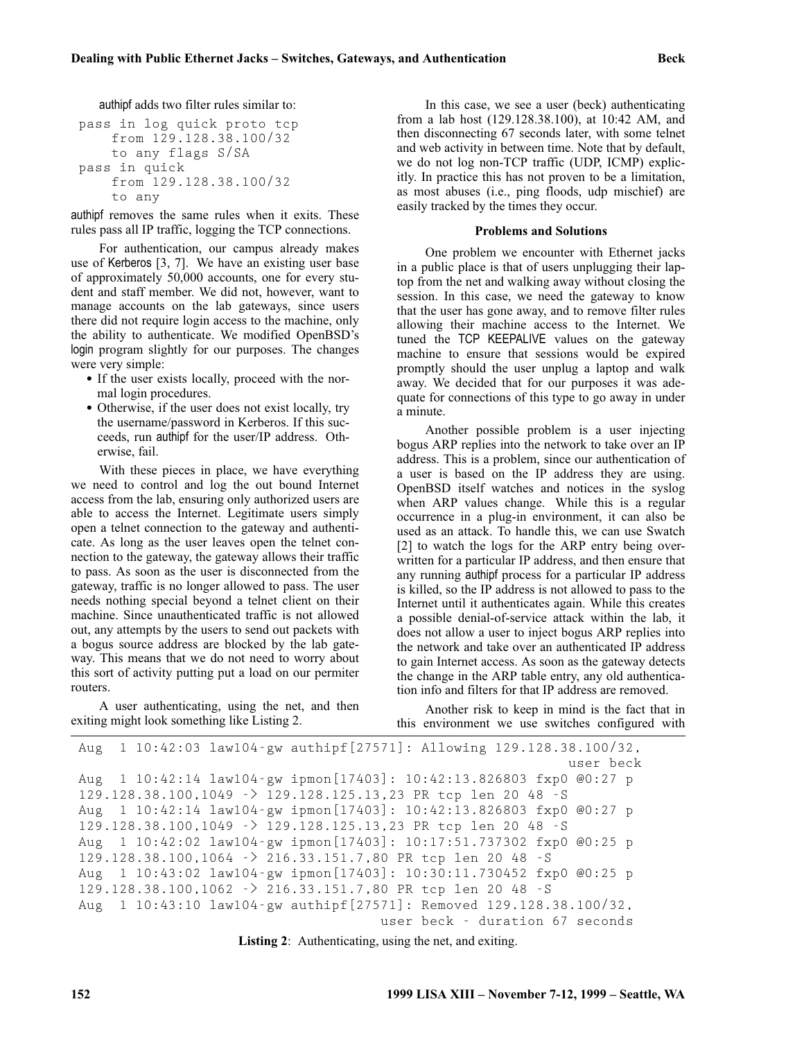authipf adds two filter rules similar to:

```
pass in log quick proto tcp
    from 129.128.38.100/32
   to any flags S/SA
pass in quick
   from 129.128.38.100/32
   to any
```
authipf removes the same rules when it exits. These rules pass all IP traffic, logging the TCP connections.

For authentication, our campus already makes use of Kerberos [3, 7]. We have an existing user base of approximately 50,000 accounts, one for every student and staff member. We did not, however, want to manage accounts on the lab gateways, since users there did not require login access to the machine, only the ability to authenticate. We modified OpenBSD's login program slightly for our purposes. The changes were very simple:

- If the user exists locally, proceed with the normal login procedures.
- Otherwise, if the user does not exist locally, try the username/password in Kerberos. If this succeeds, run authipf for the user/IP address. Otherwise, fail.

With these pieces in place, we have everything we need to control and log the out bound Internet access from the lab, ensuring only authorized users are able to access the Internet. Legitimate users simply open a telnet connection to the gateway and authenticate. As long as the user leaves open the telnet connection to the gateway, the gateway allows their traffic to pass. As soon as the user is disconnected from the gateway, traffic is no longer allowed to pass. The user needs nothing special beyond a telnet client on their machine. Since unauthenticated traffic is not allowed out, any attempts by the users to send out packets with a bogus source address are blocked by the lab gateway. This means that we do not need to worry about this sort of activity putting put a load on our permiter routers.

A user authenticating, using the net, and then exiting might look something like Listing 2.

In this case, we see a user (beck) authenticating from a lab host (129.128.38.100), at 10:42 AM, and then disconnecting 67 seconds later, with some telnet and web activity in between time. Note that by default, we do not log non-TCP traffic (UDP, ICMP) explicitly. In practice this has not proven to be a limitation, as most abuses (i.e., ping floods, udp mischief) are easily tracked by the times they occur.

#### **Problems and Solutions**

One problem we encounter with Ethernet jacks in a public place is that of users unplugging their laptop from the net and walking away without closing the session. In this case, we need the gateway to know that the user has gone away, and to remove filter rules allowing their machine access to the Internet. We tuned the TCP KEEPALIVE values on the gateway machine to ensure that sessions would be expired promptly should the user unplug a laptop and walk away. We decided that for our purposes it was adequate for connections of this type to go away in under a minute.

Another possible problem is a user injecting bogus ARP replies into the network to take over an IP address. This is a problem, since our authentication of a user is based on the IP address they are using. OpenBSD itself watches and notices in the syslog when ARP values change. While this is a regular occurrence in a plug-in environment, it can also be used as an attack. To handle this, we can use Swatch [2] to watch the logs for the ARP entry being overwritten for a particular IP address, and then ensure that any running authipf process for a particular IP address is killed, so the IP address is not allowed to pass to the Internet until it authenticates again. While this creates a possible denial-of-service attack within the lab, it does not allow a user to inject bogus ARP replies into the network and take over an authenticated IP address to gain Internet access. As soon as the gateway detects the change in the ARP table entry, any old authentication info and filters for that IP address are removed.

Another risk to keep in mind is the fact that in this environment we use switches configured with

```
Aug 1 10:42:03 law104-gw authipf[27571]: Allowing 129.128.38.100/32,
                                                            user beck
Aug 1 10:42:14 law104-gw ipmon[17403]: 10:42:13.826803 fxp0 @0:27 p
129.128.38.100,1049 -> 129.128.125.13,23 PR tcp len 20 48 -S
Aug 1 10:42:14 law104-gw ipmon[17403]: 10:42:13.826803 fxp0 @0:27 p
129.128.38.100,1049 -> 129.128.125.13,23 PR tcp len 20 48 -S
Aug 1 10:42:02 law104-gw ipmon[17403]: 10:17:51.737302 fxp0 @0:25 p
129.128.38.100,1064 -> 216.33.151.7,80 PR tcp len 20 48 -S
Aug 1 10:43:02 law104-gw ipmon[17403]: 10:30:11.730452 fxp0 @0:25 p
129.128.38.100,1062 -> 216.33.151.7,80 PR tcp len 20 48 -S
Aug 1 10:43:10 law104-gw authipf[27571]: Removed 129.128.38.100/32,
                                     user beck - duration 67 seconds
```
**Listing 2**: Authenticating, using the net, and exiting.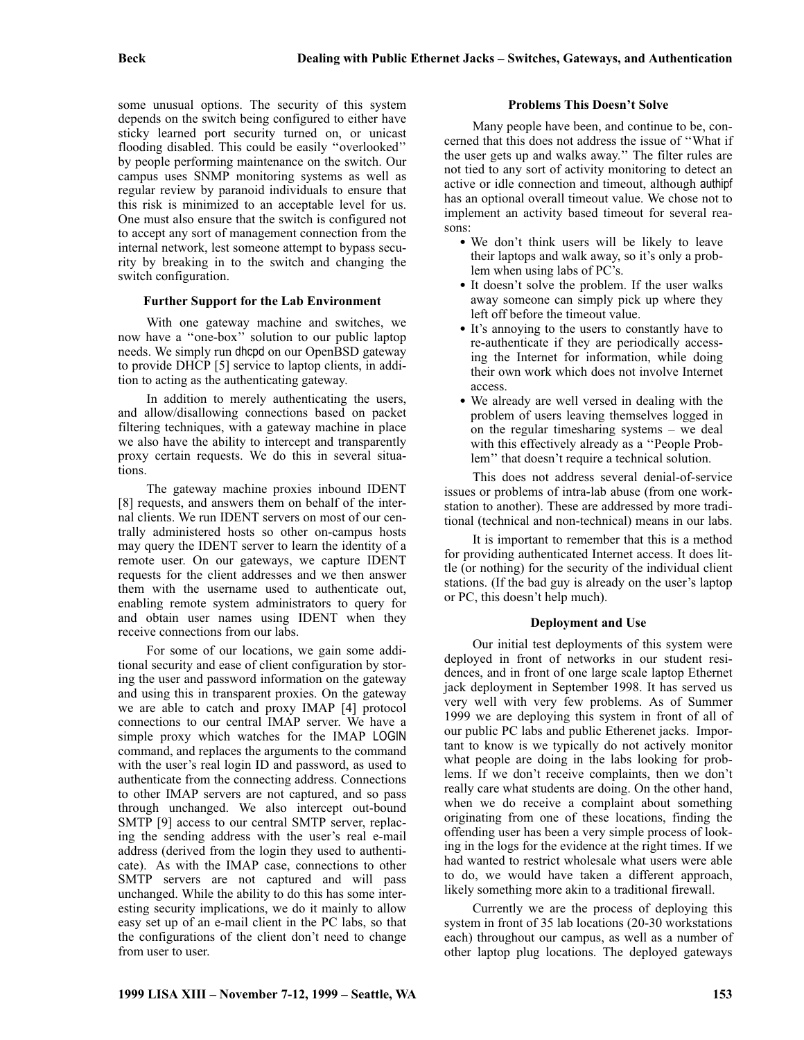some unusual options. The security of this system depends on the switch being configured to either have sticky learned port security turned on, or unicast flooding disabled. This could be easily ''overlooked'' by people performing maintenance on the switch. Our campus uses SNMP monitoring systems as well as regular review by paranoid individuals to ensure that this risk is minimized to an acceptable level for us. One must also ensure that the switch is configured not to accept any sort of management connection from the internal network, lest someone attempt to bypass security by breaking in to the switch and changing the switch configuration.

#### **Further Support for the Lab Environment**

With one gateway machine and switches, we now have a ''one-box'' solution to our public laptop needs. We simply run dhcpd on our OpenBSD gateway to provide DHCP [5] service to laptop clients, in addition to acting as the authenticating gateway.

In addition to merely authenticating the users, and allow/disallowing connections based on packet filtering techniques, with a gateway machine in place we also have the ability to intercept and transparently proxy certain requests. We do this in several situations.

The gateway machine proxies inbound IDENT [8] requests, and answers them on behalf of the internal clients. We run IDENT servers on most of our centrally administered hosts so other on-campus hosts may query the IDENT server to learn the identity of a remote user. On our gateways, we capture IDENT requests for the client addresses and we then answer them with the username used to authenticate out, enabling remote system administrators to query for and obtain user names using IDENT when they receive connections from our labs.

For some of our locations, we gain some additional security and ease of client configuration by storing the user and password information on the gateway and using this in transparent proxies. On the gateway we are able to catch and proxy IMAP [4] protocol connections to our central IMAP server. We have a simple proxy which watches for the IMAP LOGIN command, and replaces the arguments to the command with the user's real login ID and password, as used to authenticate from the connecting address. Connections to other IMAP servers are not captured, and so pass through unchanged. We also intercept out-bound SMTP [9] access to our central SMTP server, replacing the sending address with the user's real e-mail address (derived from the login they used to authenticate). As with the IMAP case, connections to other SMTP servers are not captured and will pass unchanged. While the ability to do this has some interesting security implications, we do it mainly to allow easy set up of an e-mail client in the PC labs, so that the configurations of the client don't need to change from user to user.

#### **Problems This Doesn't Solve**

Many people have been, and continue to be, concerned that this does not address the issue of ''What if the user gets up and walks away.'' The filter rules are not tied to any sort of activity monitoring to detect an active or idle connection and timeout, although authipf has an optional overall timeout value. We chose not to implement an activity based timeout for several reasons:

- We don't think users will be likely to leave their laptops and walk away, so it's only a problem when using labs of PC's.
- It doesn't solve the problem. If the user walks away someone can simply pick up where they left off before the timeout value.
- It's annoying to the users to constantly have to re-authenticate if they are periodically accessing the Internet for information, while doing their own work which does not involve Internet access.
- We already are well versed in dealing with the problem of users leaving themselves logged in on the regular timesharing systems – we deal with this effectively already as a ''People Problem'' that doesn't require a technical solution.

This does not address several denial-of-service issues or problems of intra-lab abuse (from one workstation to another). These are addressed by more traditional (technical and non-technical) means in our labs.

It is important to remember that this is a method for providing authenticated Internet access. It does little (or nothing) for the security of the individual client stations. (If the bad guy is already on the user's laptop or PC, this doesn't help much).

## **Deployment and Use**

Our initial test deployments of this system were deployed in front of networks in our student residences, and in front of one large scale laptop Ethernet jack deployment in September 1998. It has served us very well with very few problems. As of Summer 1999 we are deploying this system in front of all of our public PC labs and public Etherenet jacks. Important to know is we typically do not actively monitor what people are doing in the labs looking for problems. If we don't receive complaints, then we don't really care what students are doing. On the other hand, when we do receive a complaint about something originating from one of these locations, finding the offending user has been a very simple process of looking in the logs for the evidence at the right times. If we had wanted to restrict wholesale what users were able to do, we would have taken a different approach, likely something more akin to a traditional firewall.

Currently we are the process of deploying this system in front of 35 lab locations (20-30 workstations each) throughout our campus, as well as a number of other laptop plug locations. The deployed gateways